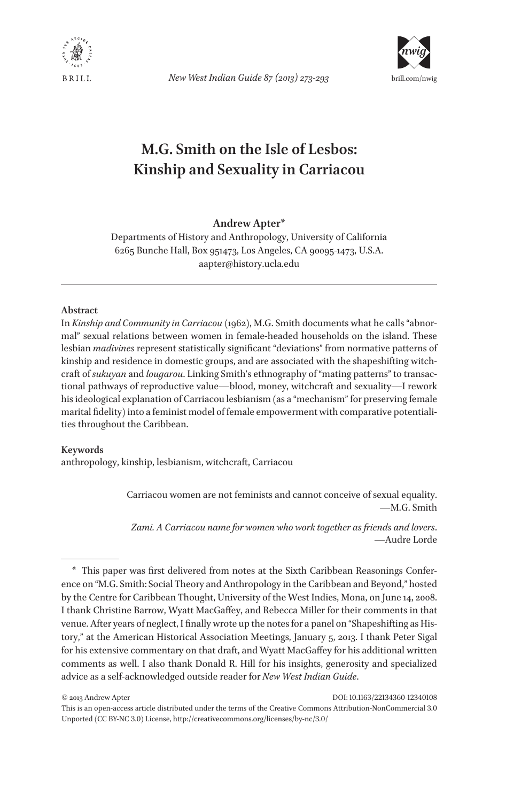

*New West Indian Guide 87 (2013) 273-293* brill.com/nwig



# **M.G. Smith on the Isle of Lesbos: Kinship and Sexuality in Carriacou**

## **Andrew Apter**\*

Departments of History and Anthropology, University of California 6265 Bunche Hall, Box 951473, Los Angeles, CA 90095-1473, U.S.A. aapter@history.ucla.edu

#### **Abstract**

In *Kinship and Community in Carriacou* (1962), M.G. Smith documents what he calls "abnormal" sexual relations between women in female-headed households on the island. These lesbian *madivines* represent statistically significant "deviations" from normative patterns of kinship and residence in domestic groups, and are associated with the shapeshifting witchcraft of *sukuyan* and *lougarou*. Linking Smith's ethnography of "mating patterns" to transactional pathways of reproductive value—blood, money, witchcraft and sexuality—I rework his ideological explanation of Carriacou lesbianism (as a "mechanism" for preserving female marital fidelity) into a feminist model of female empowerment with comparative potentialities throughout the Caribbean.

#### **Keywords**

anthropology, kinship, lesbianism, witchcraft, Carriacou

Carriacou women are not feminists and cannot conceive of sexual equality. —M.G. Smith

*Zami. A Carriacou name for women who work together as friends and lovers*. —Audre Lorde

Unported (CC BY-NC 3.0) License, http://creativecommons.org/licenses/by-nc/3.0/

<sup>\*</sup> This paper was first delivered from notes at the Sixth Caribbean Reasonings Conference on "M.G. Smith: Social Theory and Anthropology in the Caribbean and Beyond," hosted by the Centre for Caribbean Thought, University of the West Indies, Mona, on June 14, 2008. I thank Christine Barrow, Wyatt MacGaffey, and Rebecca Miller for their comments in that venue. After years of neglect, I finally wrote up the notes for a panel on "Shapeshifting as History," at the American Historical Association Meetings, January 5, 2013. I thank Peter Sigal for his extensive commentary on that draft, and Wyatt MacGaffey for his additional written comments as well. I also thank Donald R. Hill for his insights, generosity and specialized advice as a self-acknowledged outside reader for *New West Indian Guide*.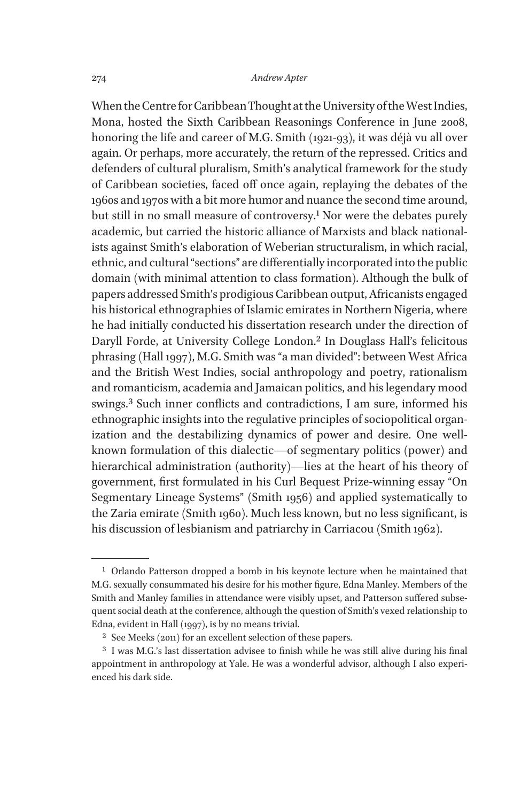When the Centre for Caribbean Thought at the University of the West Indies, Mona, hosted the Sixth Caribbean Reasonings Conference in June 2008, honoring the life and career of M.G. Smith (1921-93), it was déjà vu all over again. Or perhaps, more accurately, the return of the repressed. Critics and defenders of cultural pluralism, Smith's analytical framework for the study of Caribbean societies, faced off once again, replaying the debates of the 1960s and 1970s with a bit more humor and nuance the second time around, but still in no small measure of controversy.<sup>1</sup> Nor were the debates purely academic, but carried the historic alliance of Marxists and black nationalists against Smith's elaboration of Weberian structuralism, in which racial, ethnic, and cultural "sections" are differentially incorporated into the public domain (with minimal attention to class formation). Although the bulk of papers addressed Smith's prodigious Caribbean output, Africanists engaged his historical ethnographies of Islamic emirates in Northern Nigeria, where he had initially conducted his dissertation research under the direction of Daryll Forde, at University College London.<sup>2</sup> In Douglass Hall's felicitous phrasing (Hall 1997), M.G. Smith was "a man divided": between West Africa and the British West Indies, social anthropology and poetry, rationalism and romanticism, academia and Jamaican politics, and his legendary mood swings.3 Such inner conflicts and contradictions, I am sure, informed his ethnographic insights into the regulative principles of sociopolitical organization and the destabilizing dynamics of power and desire. One wellknown formulation of this dialectic—of segmentary politics (power) and hierarchical administration (authority)—lies at the heart of his theory of government, first formulated in his Curl Bequest Prize-winning essay "On Segmentary Lineage Systems" (Smith 1956) and applied systematically to the Zaria emirate (Smith 1960). Much less known, but no less significant, is his discussion of lesbianism and patriarchy in Carriacou (Smith 1962).

<sup>&</sup>lt;sup>1</sup> Orlando Patterson dropped a bomb in his keynote lecture when he maintained that M.G. sexually consummated his desire for his mother figure, Edna Manley. Members of the Smith and Manley families in attendance were visibly upset, and Patterson suffered subsequent social death at the conference, although the question of Smith's vexed relationship to Edna, evident in Hall (1997), is by no means trivial.

<sup>2</sup> See Meeks (2011) for an excellent selection of these papers.

<sup>3</sup> I was M.G.'s last dissertation advisee to finish while he was still alive during his final appointment in anthropology at Yale. He was a wonderful advisor, although I also experienced his dark side.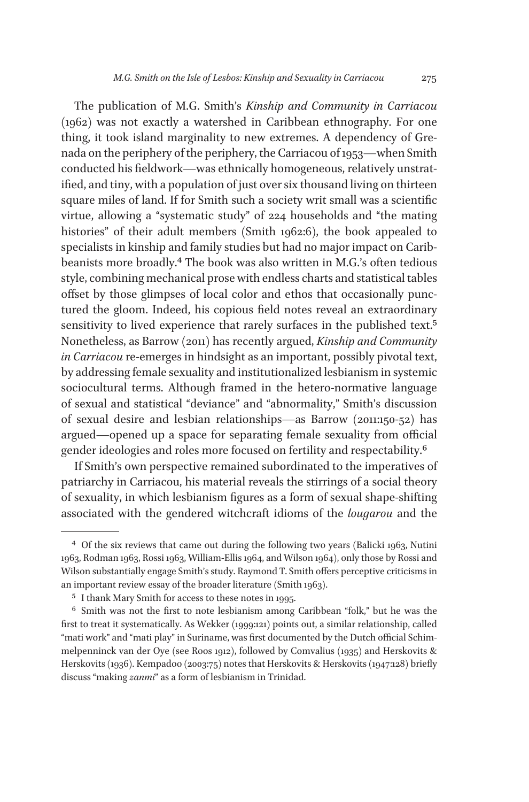The publication of M.G. Smith's *Kinship and Community in Carriacou* (1962) was not exactly a watershed in Caribbean ethnography. For one thing, it took island marginality to new extremes. A dependency of Grenada on the periphery of the periphery, the Carriacou of 1953—when Smith conducted his fieldwork—was ethnically homogeneous, relatively unstratified, and tiny, with a population of just over six thousand living on thirteen square miles of land. If for Smith such a society writ small was a scientific virtue, allowing a "systematic study" of 224 households and "the mating histories" of their adult members (Smith 1962:6), the book appealed to specialists in kinship and family studies but had no major impact on Caribbeanists more broadly.4 The book was also written in M.G.'s often tedious style, combining mechanical prose with endless charts and statistical tables offset by those glimpses of local color and ethos that occasionally punctured the gloom. Indeed, his copious field notes reveal an extraordinary sensitivity to lived experience that rarely surfaces in the published text.<sup>5</sup> Nonetheless, as Barrow (2011) has recently argued, *Kinship and Community in Carriacou* re-emerges in hindsight as an important, possibly pivotal text, by addressing female sexuality and institutionalized lesbianism in systemic sociocultural terms. Although framed in the hetero-normative language of sexual and statistical "deviance" and "abnormality," Smith's discussion of sexual desire and lesbian relationships—as Barrow (2011:150-52) has argued—opened up a space for separating female sexuality from official gender ideologies and roles more focused on fertility and respectability.6

If Smith's own perspective remained subordinated to the imperatives of patriarchy in Carriacou, his material reveals the stirrings of a social theory of sexuality, in which lesbianism figures as a form of sexual shape-shifting associated with the gendered witchcraft idioms of the *lougarou* and the

<sup>4</sup> Of the six reviews that came out during the following two years (Balicki 1963, Nutini 1963, Rodman 1963, Rossi 1963, William-Ellis 1964, and Wilson 1964), only those by Rossi and Wilson substantially engage Smith's study. Raymond T. Smith offers perceptive criticisms in an important review essay of the broader literature (Smith 1963).

<sup>5</sup> I thank Mary Smith for access to these notes in 1995.

<sup>6</sup> Smith was not the first to note lesbianism among Caribbean "folk," but he was the first to treat it systematically. As Wekker (1999:121) points out, a similar relationship, called "mati work" and "mati play" in Suriname, was first documented by the Dutch official Schimmelpenninck van der Oye (see Roos 1912), followed by Comvalius (1935) and Herskovits & Herskovits (1936). Kempadoo (2003:75) notes that Herskovits & Herskovits (1947:128) briefly discuss "making *zanmi*" as a form of lesbianism in Trinidad.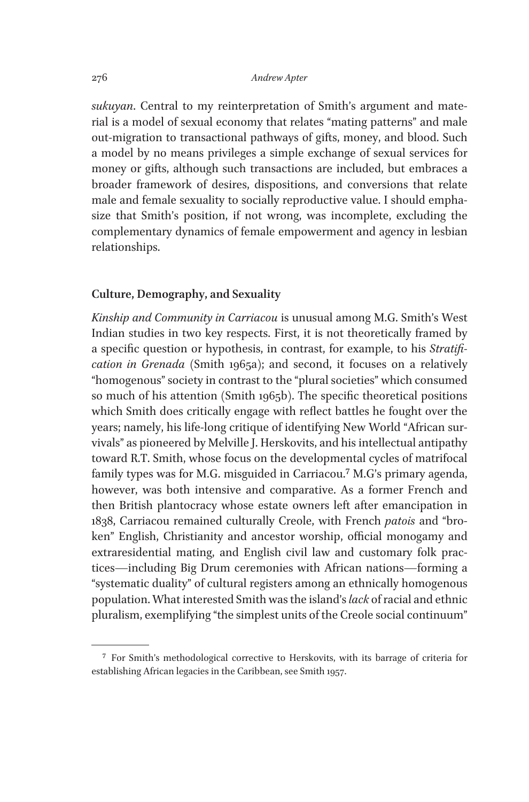*sukuyan*. Central to my reinterpretation of Smith's argument and material is a model of sexual economy that relates "mating patterns" and male out-migration to transactional pathways of gifts, money, and blood. Such a model by no means privileges a simple exchange of sexual services for money or gifts, although such transactions are included, but embraces a broader framework of desires, dispositions, and conversions that relate male and female sexuality to socially reproductive value. I should emphasize that Smith's position, if not wrong, was incomplete, excluding the complementary dynamics of female empowerment and agency in lesbian relationships.

## **Culture, Demography, and Sexuality**

*Kinship and Community in Carriacou* is unusual among M.G. Smith's West Indian studies in two key respects. First, it is not theoretically framed by a specific question or hypothesis, in contrast, for example, to his *Stratification in Grenada* (Smith 1965a); and second, it focuses on a relatively "homogenous" society in contrast to the "plural societies" which consumed so much of his attention (Smith 1965b). The specific theoretical positions which Smith does critically engage with reflect battles he fought over the years; namely, his life-long critique of identifying New World "African survivals" as pioneered by Melville J. Herskovits, and his intellectual antipathy toward R.T. Smith, whose focus on the developmental cycles of matrifocal family types was for M.G. misguided in Carriacou.7 M.G's primary agenda, however, was both intensive and comparative. As a former French and then British plantocracy whose estate owners left after emancipation in 1838, Carriacou remained culturally Creole, with French *patois* and "broken" English, Christianity and ancestor worship, official monogamy and extraresidential mating, and English civil law and customary folk practices—including Big Drum ceremonies with African nations—forming a "systematic duality" of cultural registers among an ethnically homogenous population. What interested Smith was the island's *lack* of racial and ethnic pluralism, exemplifying "the simplest units of the Creole social continuum"

<sup>7</sup> For Smith's methodological corrective to Herskovits, with its barrage of criteria for establishing African legacies in the Caribbean, see Smith 1957.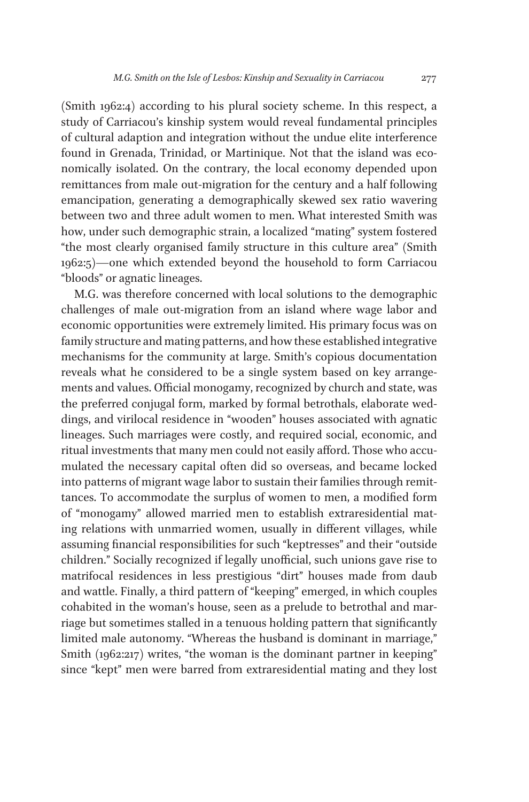(Smith 1962:4) according to his plural society scheme. In this respect, a study of Carriacou's kinship system would reveal fundamental principles of cultural adaption and integration without the undue elite interference found in Grenada, Trinidad, or Martinique. Not that the island was economically isolated. On the contrary, the local economy depended upon remittances from male out-migration for the century and a half following emancipation, generating a demographically skewed sex ratio wavering between two and three adult women to men. What interested Smith was how, under such demographic strain, a localized "mating" system fostered "the most clearly organised family structure in this culture area" (Smith 1962:5)—one which extended beyond the household to form Carriacou "bloods" or agnatic lineages.

M.G. was therefore concerned with local solutions to the demographic challenges of male out-migration from an island where wage labor and economic opportunities were extremely limited. His primary focus was on family structure and mating patterns, and how these established integrative mechanisms for the community at large. Smith's copious documentation reveals what he considered to be a single system based on key arrangements and values. Official monogamy, recognized by church and state, was the preferred conjugal form, marked by formal betrothals, elaborate weddings, and virilocal residence in "wooden" houses associated with agnatic lineages. Such marriages were costly, and required social, economic, and ritual investments that many men could not easily afford. Those who accumulated the necessary capital often did so overseas, and became locked into patterns of migrant wage labor to sustain their families through remittances. To accommodate the surplus of women to men, a modified form of "monogamy" allowed married men to establish extraresidential mating relations with unmarried women, usually in different villages, while assuming financial responsibilities for such "keptresses" and their "outside children." Socially recognized if legally unofficial, such unions gave rise to matrifocal residences in less prestigious "dirt" houses made from daub and wattle. Finally, a third pattern of "keeping" emerged, in which couples cohabited in the woman's house, seen as a prelude to betrothal and marriage but sometimes stalled in a tenuous holding pattern that significantly limited male autonomy. "Whereas the husband is dominant in marriage," Smith (1962:217) writes, "the woman is the dominant partner in keeping" since "kept" men were barred from extraresidential mating and they lost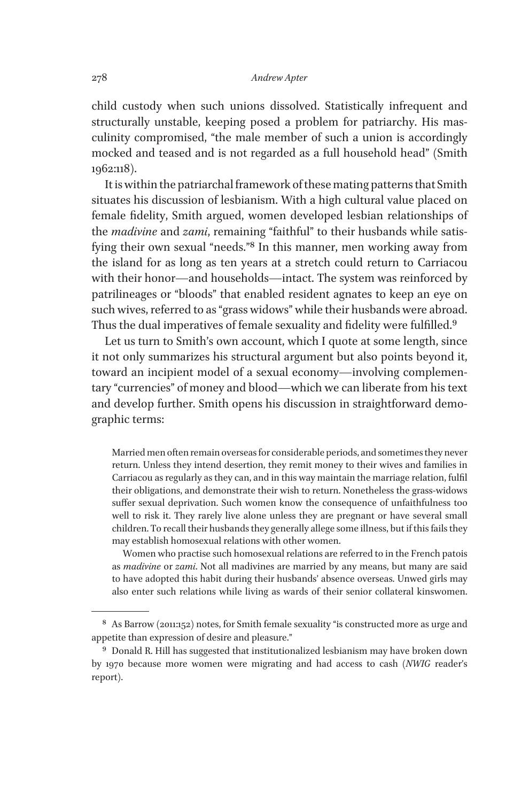#### 278 *Andrew Apter*

child custody when such unions dissolved. Statistically infrequent and structurally unstable, keeping posed a problem for patriarchy. His masculinity compromised, "the male member of such a union is accordingly mocked and teased and is not regarded as a full household head" (Smith 1962:118).

It is within the patriarchal framework of these mating patterns that Smith situates his discussion of lesbianism. With a high cultural value placed on female fidelity, Smith argued, women developed lesbian relationships of the *madivine* and *zami*, remaining "faithful" to their husbands while satisfying their own sexual "needs."8 In this manner, men working away from the island for as long as ten years at a stretch could return to Carriacou with their honor—and households—intact. The system was reinforced by patrilineages or "bloods" that enabled resident agnates to keep an eye on such wives, referred to as "grass widows" while their husbands were abroad. Thus the dual imperatives of female sexuality and fidelity were fulfilled.<sup>9</sup>

Let us turn to Smith's own account, which I quote at some length, since it not only summarizes his structural argument but also points beyond it, toward an incipient model of a sexual economy—involving complementary "currencies" of money and blood—which we can liberate from his text and develop further. Smith opens his discussion in straightforward demographic terms:

Married men often remain overseas for considerable periods, and sometimes they never return. Unless they intend desertion, they remit money to their wives and families in Carriacou as regularly as they can, and in this way maintain the marriage relation, fulfil their obligations, and demonstrate their wish to return. Nonetheless the grass-widows suffer sexual deprivation. Such women know the consequence of unfaithfulness too well to risk it. They rarely live alone unless they are pregnant or have several small children. To recall their husbands they generally allege some illness, but if this fails they may establish homosexual relations with other women.

Women who practise such homosexual relations are referred to in the French patois as *madivine* or *zami*. Not all madivines are married by any means, but many are said to have adopted this habit during their husbands' absence overseas. Unwed girls may also enter such relations while living as wards of their senior collateral kinswomen.

<sup>8</sup> As Barrow (2011:152) notes, for Smith female sexuality "is constructed more as urge and appetite than expression of desire and pleasure."

<sup>9</sup> Donald R. Hill has suggested that institutionalized lesbianism may have broken down by 1970 because more women were migrating and had access to cash (*NWIG* reader's report).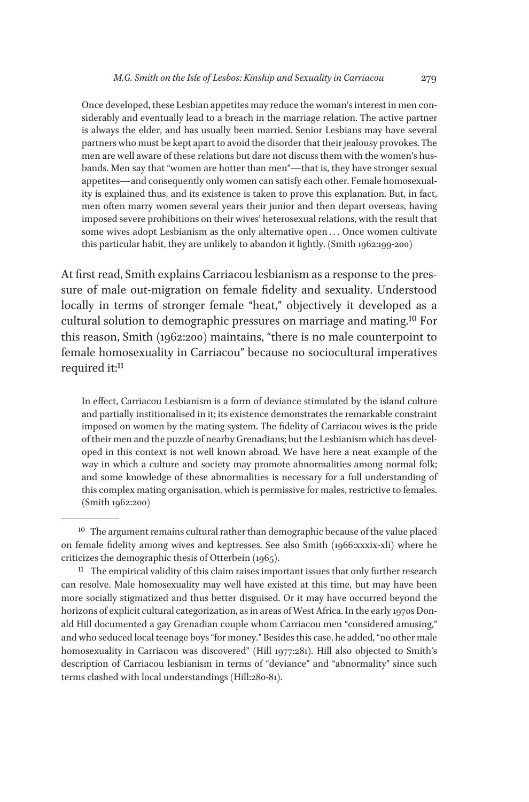Once developed, these Lesbian appetites may reduce the woman's interest in men considerably and eventually lead to a breach in the marriage relation. The active partner is always the elder, and has usually been married. Senior Lesbians may have several partners who must be kept apart to avoid the disorder that their jealousy provokes. The men are well aware of these relations but dare not discuss them with the women's husbands. Men say that "women are hotter than men"—that is, they have stronger sexual appetites—and consequently only women can satisfy each other. Female homosexuality is explained thus, and its existence is taken to prove this explanation. But, in fact, men often marry women several years their junior and then depart overseas, having imposed severe prohibitions on their wives' heterosexual relations, with the result that some wives adopt Lesbianism as the only alternative open ... Once women cultivate this particular habit, they are unlikely to abandon it lightly. (Smith 1962:199-200)

At first read, Smith explains Carriacou lesbianism as a response to the pressure of male out-migration on female fidelity and sexuality. Understood locally in terms of stronger female "heat," objectively it developed as a cultural solution to demographic pressures on marriage and mating.10 For this reason, Smith (1962:200) maintains, "there is no male counterpoint to female homosexuality in Carriacou" because no sociocultural imperatives required it:<sup>11</sup>

In effect, Carriacou Lesbianism is a form of deviance stimulated by the island culture and partially institionalised in it; its existence demonstrates the remarkable constraint imposed on women by the mating system. The fidelity of Carriacou wives is the pride of their men and the puzzle of nearby Grenadians; but the Lesbianism which has developed in this context is not well known abroad. We have here a neat example of the way in which a culture and society may promote abnormalities among normal folk; and some knowledge of these abnormalities is necessary for a full understanding of this complex mating organisation, which is permissive for males, restrictive to females. (Smith 1962:200)

<sup>10</sup> The argument remains cultural rather than demographic because of the value placed on female fidelity among wives and keptresses. See also Smith (1966:xxxix-xli) where he criticizes the demographic thesis of Otterbein (1965).

 $^{11}\,$  The empirical validity of this claim raises important issues that only further research can resolve. Male homosexuality may well have existed at this time, but may have been more socially stigmatized and thus better disguised. Or it may have occurred beyond the horizons of explicit cultural categorization, as in areas of West Africa. In the early 1970s Donald Hill documented a gay Grenadian couple whom Carriacou men "considered amusing," and who seduced local teenage boys "for money." Besides this case, he added, "no other male homosexuality in Carriacou was discovered" (Hill 1977:281). Hill also objected to Smith's description of Carriacou lesbianism in terms of "deviance" and "abnormality" since such terms clashed with local understandings (Hill:280-81).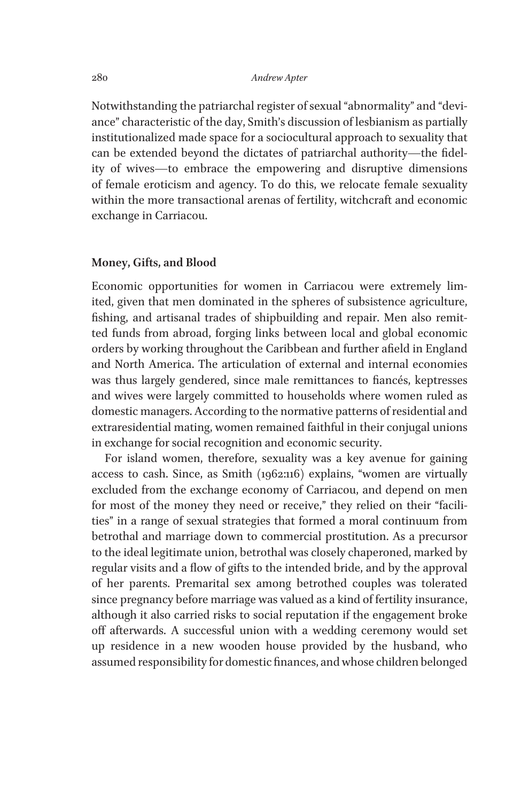Notwithstanding the patriarchal register of sexual "abnormality" and "deviance" characteristic of the day, Smith's discussion of lesbianism as partially institutionalized made space for a sociocultural approach to sexuality that can be extended beyond the dictates of patriarchal authority—the fidelity of wives—to embrace the empowering and disruptive dimensions of female eroticism and agency. To do this, we relocate female sexuality within the more transactional arenas of fertility, witchcraft and economic exchange in Carriacou.

# **Money, Gifts, and Blood**

Economic opportunities for women in Carriacou were extremely limited, given that men dominated in the spheres of subsistence agriculture, fishing, and artisanal trades of shipbuilding and repair. Men also remitted funds from abroad, forging links between local and global economic orders by working throughout the Caribbean and further afield in England and North America. The articulation of external and internal economies was thus largely gendered, since male remittances to fiancés, keptresses and wives were largely committed to households where women ruled as domestic managers. According to the normative patterns of residential and extraresidential mating, women remained faithful in their conjugal unions in exchange for social recognition and economic security.

For island women, therefore, sexuality was a key avenue for gaining access to cash. Since, as Smith (1962:116) explains, "women are virtually excluded from the exchange economy of Carriacou, and depend on men for most of the money they need or receive," they relied on their "facilities" in a range of sexual strategies that formed a moral continuum from betrothal and marriage down to commercial prostitution. As a precursor to the ideal legitimate union, betrothal was closely chaperoned, marked by regular visits and a flow of gifts to the intended bride, and by the approval of her parents. Premarital sex among betrothed couples was tolerated since pregnancy before marriage was valued as a kind of fertility insurance, although it also carried risks to social reputation if the engagement broke off afterwards. A successful union with a wedding ceremony would set up residence in a new wooden house provided by the husband, who assumed responsibility for domestic finances, and whose children belonged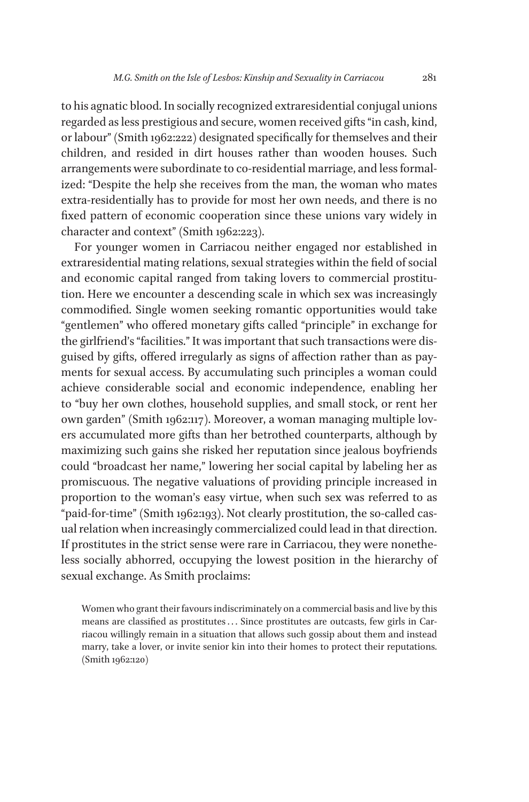to his agnatic blood. In socially recognized extraresidential conjugal unions regarded as less prestigious and secure, women received gifts "in cash, kind, or labour" (Smith 1962:222) designated specifically for themselves and their children, and resided in dirt houses rather than wooden houses. Such arrangements were subordinate to co-residential marriage, and less formalized: "Despite the help she receives from the man, the woman who mates extra-residentially has to provide for most her own needs, and there is no fixed pattern of economic cooperation since these unions vary widely in character and context" (Smith 1962:223).

For younger women in Carriacou neither engaged nor established in extraresidential mating relations, sexual strategies within the field of social and economic capital ranged from taking lovers to commercial prostitution. Here we encounter a descending scale in which sex was increasingly commodified. Single women seeking romantic opportunities would take "gentlemen" who offered monetary gifts called "principle" in exchange for the girlfriend's "facilities." It was important that such transactions were disguised by gifts, offered irregularly as signs of affection rather than as payments for sexual access. By accumulating such principles a woman could achieve considerable social and economic independence, enabling her to "buy her own clothes, household supplies, and small stock, or rent her own garden" (Smith 1962:117). Moreover, a woman managing multiple lovers accumulated more gifts than her betrothed counterparts, although by maximizing such gains she risked her reputation since jealous boyfriends could "broadcast her name," lowering her social capital by labeling her as promiscuous. The negative valuations of providing principle increased in proportion to the woman's easy virtue, when such sex was referred to as "paid-for-time" (Smith 1962:193). Not clearly prostitution, the so-called casual relation when increasingly commercialized could lead in that direction. If prostitutes in the strict sense were rare in Carriacou, they were nonetheless socially abhorred, occupying the lowest position in the hierarchy of sexual exchange. As Smith proclaims:

Women who grant their favours indiscriminately on a commercial basis and live by this means are classified as prostitutes . . . Since prostitutes are outcasts, few girls in Carriacou willingly remain in a situation that allows such gossip about them and instead marry, take a lover, or invite senior kin into their homes to protect their reputations. (Smith 1962:120)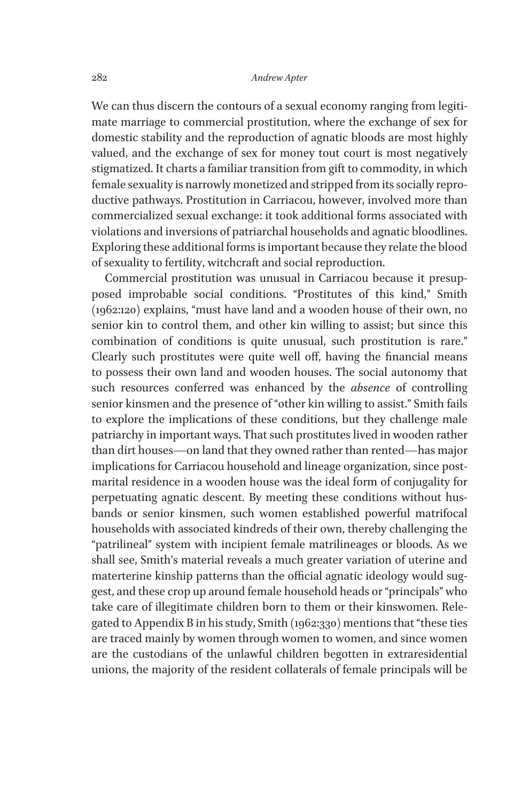We can thus discern the contours of a sexual economy ranging from legitimate marriage to commercial prostitution, where the exchange of sex for domestic stability and the reproduction of agnatic bloods are most highly valued, and the exchange of sex for money tout court is most negatively stigmatized. It charts a familiar transition from gift to commodity, in which female sexuality is narrowly monetized and stripped from its socially reproductive pathways. Prostitution in Carriacou, however, involved more than commercialized sexual exchange: it took additional forms associated with violations and inversions of patriarchal households and agnatic bloodlines. Exploring these additional forms is important because they relate the blood of sexuality to fertility, witchcraft and social reproduction.

Commercial prostitution was unusual in Carriacou because it presupposed improbable social conditions. "Prostitutes of this kind," Smith (1962:120) explains, "must have land and a wooden house of their own, no senior kin to control them, and other kin willing to assist; but since this combination of conditions is quite unusual, such prostitution is rare." Clearly such prostitutes were quite well off, having the financial means to possess their own land and wooden houses. The social autonomy that such resources conferred was enhanced by the *absence* of controlling senior kinsmen and the presence of "other kin willing to assist." Smith fails to explore the implications of these conditions, but they challenge male patriarchy in important ways. That such prostitutes lived in wooden rather than dirt houses—on land that they owned rather than rented—has major implications for Carriacou household and lineage organization, since postmarital residence in a wooden house was the ideal form of conjugality for perpetuating agnatic descent. By meeting these conditions without husbands or senior kinsmen, such women established powerful matrifocal households with associated kindreds of their own, thereby challenging the "patrilineal" system with incipient female matrilineages or bloods. As we shall see, Smith's material reveals a much greater variation of uterine and materterine kinship patterns than the official agnatic ideology would suggest, and these crop up around female household heads or "principals" who take care of illegitimate children born to them or their kinswomen. Relegated to Appendix B in his study, Smith (1962:330) mentions that "these ties are traced mainly by women through women to women, and since women are the custodians of the unlawful children begotten in extraresidential unions, the majority of the resident collaterals of female principals will be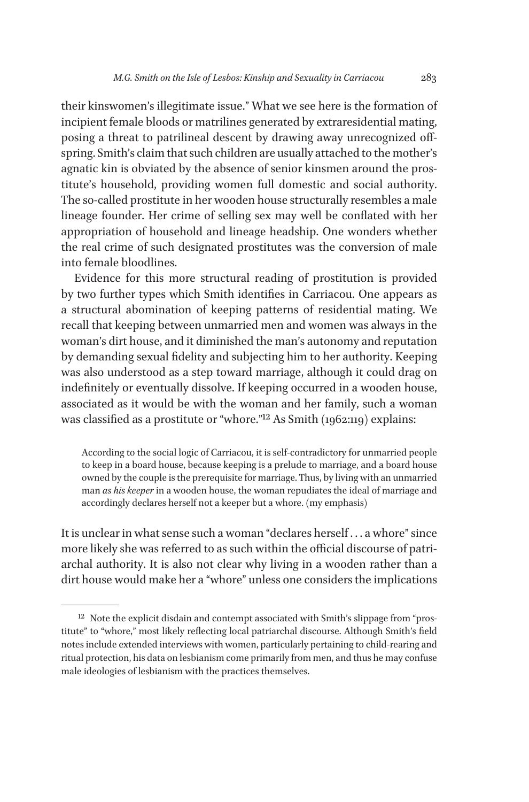their kinswomen's illegitimate issue." What we see here is the formation of incipient female bloods or matrilines generated by extraresidential mating, posing a threat to patrilineal descent by drawing away unrecognized offspring. Smith's claim that such children are usually attached to the mother's agnatic kin is obviated by the absence of senior kinsmen around the prostitute's household, providing women full domestic and social authority. The so-called prostitute in her wooden house structurally resembles a male lineage founder. Her crime of selling sex may well be conflated with her appropriation of household and lineage headship. One wonders whether the real crime of such designated prostitutes was the conversion of male into female bloodlines.

Evidence for this more structural reading of prostitution is provided by two further types which Smith identifies in Carriacou. One appears as a structural abomination of keeping patterns of residential mating. We recall that keeping between unmarried men and women was always in the woman's dirt house, and it diminished the man's autonomy and reputation by demanding sexual fidelity and subjecting him to her authority. Keeping was also understood as a step toward marriage, although it could drag on indefinitely or eventually dissolve. If keeping occurred in a wooden house, associated as it would be with the woman and her family, such a woman was classified as a prostitute or "whore."12 As Smith (1962:119) explains:

According to the social logic of Carriacou, it is self-contradictory for unmarried people to keep in a board house, because keeping is a prelude to marriage, and a board house owned by the couple is the prerequisite for marriage. Thus, by living with an unmarried man *as his keeper* in a wooden house, the woman repudiates the ideal of marriage and accordingly declares herself not a keeper but a whore. (my emphasis)

It is unclear in what sense such a woman "declares herself . . . a whore" since more likely she was referred to as such within the official discourse of patriarchal authority. It is also not clear why living in a wooden rather than a dirt house would make her a "whore" unless one considers the implications

<sup>&</sup>lt;sup>12</sup> Note the explicit disdain and contempt associated with Smith's slippage from "prostitute" to "whore," most likely reflecting local patriarchal discourse. Although Smith's field notes include extended interviews with women, particularly pertaining to child-rearing and ritual protection, his data on lesbianism come primarily from men, and thus he may confuse male ideologies of lesbianism with the practices themselves.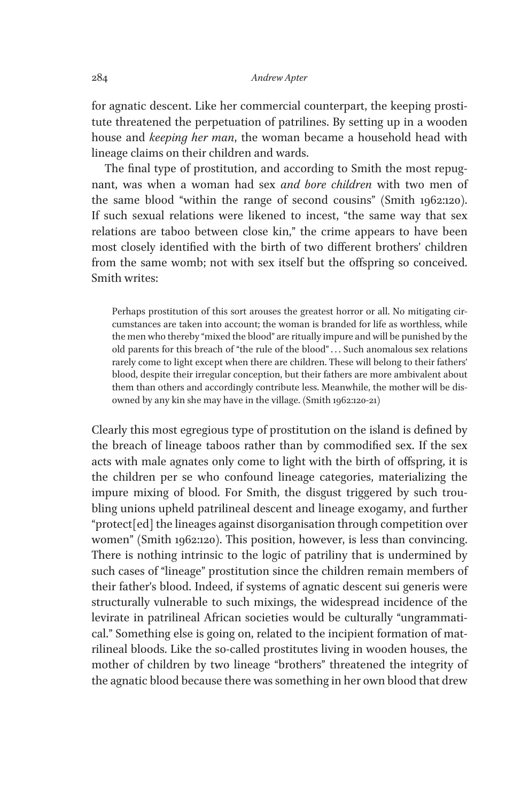for agnatic descent. Like her commercial counterpart, the keeping prostitute threatened the perpetuation of patrilines. By setting up in a wooden house and *keeping her man*, the woman became a household head with lineage claims on their children and wards.

The final type of prostitution, and according to Smith the most repugnant, was when a woman had sex *and bore children* with two men of the same blood "within the range of second cousins" (Smith 1962:120). If such sexual relations were likened to incest, "the same way that sex relations are taboo between close kin," the crime appears to have been most closely identified with the birth of two different brothers' children from the same womb; not with sex itself but the offspring so conceived. Smith writes:

Perhaps prostitution of this sort arouses the greatest horror or all. No mitigating circumstances are taken into account; the woman is branded for life as worthless, while the men who thereby "mixed the blood" are ritually impure and will be punished by the old parents for this breach of "the rule of the blood" . . . Such anomalous sex relations rarely come to light except when there are children. These will belong to their fathers' blood, despite their irregular conception, but their fathers are more ambivalent about them than others and accordingly contribute less. Meanwhile, the mother will be disowned by any kin she may have in the village. (Smith 1962:120-21)

Clearly this most egregious type of prostitution on the island is defined by the breach of lineage taboos rather than by commodified sex. If the sex acts with male agnates only come to light with the birth of offspring, it is the children per se who confound lineage categories, materializing the impure mixing of blood. For Smith, the disgust triggered by such troubling unions upheld patrilineal descent and lineage exogamy, and further "protect[ed] the lineages against disorganisation through competition over women" (Smith 1962:120). This position, however, is less than convincing. There is nothing intrinsic to the logic of patriliny that is undermined by such cases of "lineage" prostitution since the children remain members of their father's blood. Indeed, if systems of agnatic descent sui generis were structurally vulnerable to such mixings, the widespread incidence of the levirate in patrilineal African societies would be culturally "ungrammatical." Something else is going on, related to the incipient formation of matrilineal bloods. Like the so-called prostitutes living in wooden houses, the mother of children by two lineage "brothers" threatened the integrity of the agnatic blood because there was something in her own blood that drew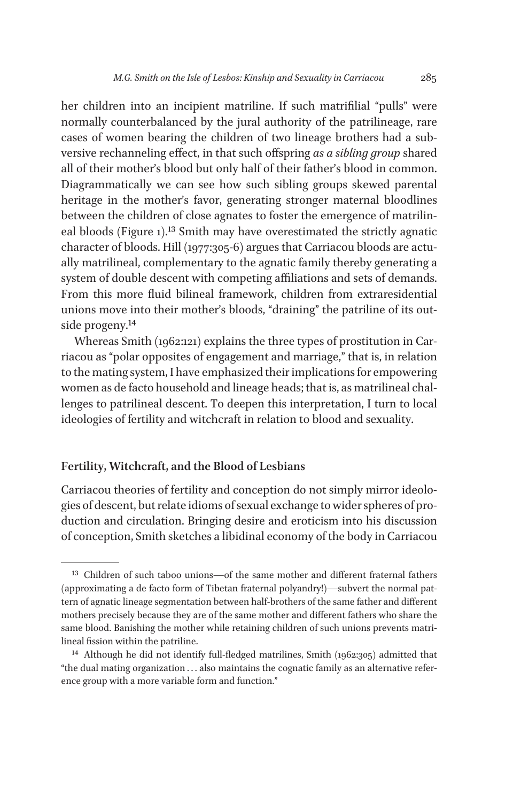her children into an incipient matriline. If such matrifilial "pulls" were normally counterbalanced by the jural authority of the patrilineage, rare cases of women bearing the children of two lineage brothers had a subversive rechanneling effect, in that such offspring *as a sibling group* shared all of their mother's blood but only half of their father's blood in common. Diagrammatically we can see how such sibling groups skewed parental heritage in the mother's favor, generating stronger maternal bloodlines between the children of close agnates to foster the emergence of matrilineal bloods (Figure 1).13 Smith may have overestimated the strictly agnatic character of bloods. Hill (1977:305-6) argues that Carriacou bloods are actually matrilineal, complementary to the agnatic family thereby generating a system of double descent with competing affiliations and sets of demands. From this more fluid bilineal framework, children from extraresidential unions move into their mother's bloods, "draining" the patriline of its outside progeny.14

Whereas Smith (1962:121) explains the three types of prostitution in Carriacou as "polar opposites of engagement and marriage," that is, in relation to the mating system, I have emphasized their implications for empowering women as de facto household and lineage heads; that is, as matrilineal challenges to patrilineal descent. To deepen this interpretation, I turn to local ideologies of fertility and witchcraft in relation to blood and sexuality.

# **Fertility, Witchcraft, and the Blood of Lesbians**

Carriacou theories of fertility and conception do not simply mirror ideologies of descent, but relate idioms of sexual exchange to wider spheres of production and circulation. Bringing desire and eroticism into his discussion of conception, Smith sketches a libidinal economy of the body in Carriacou

<sup>13</sup> Children of such taboo unions—of the same mother and different fraternal fathers (approximating a de facto form of Tibetan fraternal polyandry!)—subvert the normal pattern of agnatic lineage segmentation between half-brothers of the same father and different mothers precisely because they are of the same mother and different fathers who share the same blood. Banishing the mother while retaining children of such unions prevents matrilineal fission within the patriline.

<sup>&</sup>lt;sup>14</sup> Although he did not identify full-fledged matrilines, Smith (1962:305) admitted that "the dual mating organization . . . also maintains the cognatic family as an alternative reference group with a more variable form and function."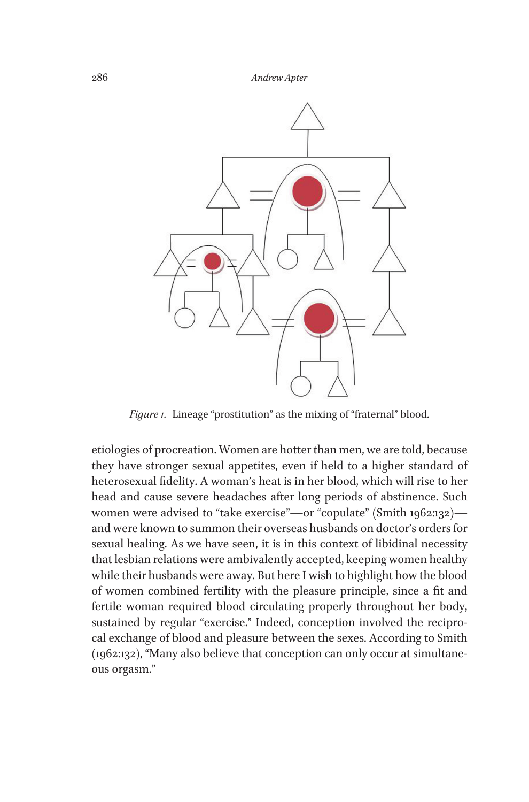

*Figure 1*. Lineage "prostitution" as the mixing of "fraternal" blood.

etiologies of procreation. Women are hotter than men, we are told, because they have stronger sexual appetites, even if held to a higher standard of heterosexual fidelity. A woman's heat is in her blood, which will rise to her head and cause severe headaches after long periods of abstinence. Such women were advised to "take exercise"—or "copulate" (Smith 1962:132) and were known to summon their overseas husbands on doctor's orders for sexual healing. As we have seen, it is in this context of libidinal necessity that lesbian relations were ambivalently accepted, keeping women healthy while their husbands were away. But here I wish to highlight how the blood of women combined fertility with the pleasure principle, since a fit and fertile woman required blood circulating properly throughout her body, sustained by regular "exercise." Indeed, conception involved the reciprocal exchange of blood and pleasure between the sexes. According to Smith (1962:132), "Many also believe that conception can only occur at simultaneous orgasm."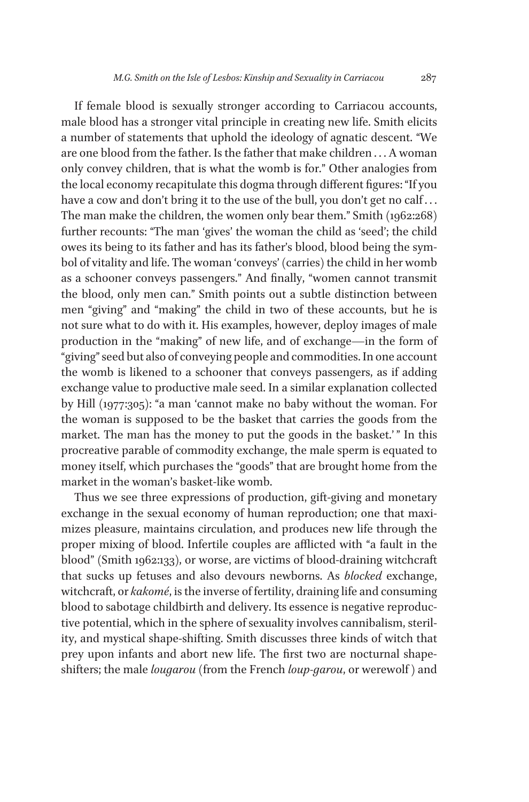If female blood is sexually stronger according to Carriacou accounts, male blood has a stronger vital principle in creating new life. Smith elicits a number of statements that uphold the ideology of agnatic descent. "We are one blood from the father. Is the father that make children . . . A woman only convey children, that is what the womb is for." Other analogies from the local economy recapitulate this dogma through different figures: "If you have a cow and don't bring it to the use of the bull, you don't get no calf... The man make the children, the women only bear them." Smith (1962:268) further recounts: "The man 'gives' the woman the child as 'seed'; the child owes its being to its father and has its father's blood, blood being the symbol of vitality and life. The woman 'conveys' (carries) the child in her womb as a schooner conveys passengers." And finally, "women cannot transmit the blood, only men can." Smith points out a subtle distinction between men "giving" and "making" the child in two of these accounts, but he is not sure what to do with it. His examples, however, deploy images of male production in the "making" of new life, and of exchange—in the form of "giving" seed but also of conveying people and commodities. In one account the womb is likened to a schooner that conveys passengers, as if adding exchange value to productive male seed. In a similar explanation collected by Hill (1977:305): "a man 'cannot make no baby without the woman. For the woman is supposed to be the basket that carries the goods from the market. The man has the money to put the goods in the basket.' " In this procreative parable of commodity exchange, the male sperm is equated to money itself, which purchases the "goods" that are brought home from the market in the woman's basket-like womb.

Thus we see three expressions of production, gift-giving and monetary exchange in the sexual economy of human reproduction; one that maximizes pleasure, maintains circulation, and produces new life through the proper mixing of blood. Infertile couples are afflicted with "a fault in the blood" (Smith 1962:133), or worse, are victims of blood-draining witchcraft that sucks up fetuses and also devours newborns. As *blocked* exchange, witchcraft, or *kakomé*, is the inverse of fertility, draining life and consuming blood to sabotage childbirth and delivery. Its essence is negative reproductive potential, which in the sphere of sexuality involves cannibalism, sterility, and mystical shape-shifting. Smith discusses three kinds of witch that prey upon infants and abort new life. The first two are nocturnal shapeshifters; the male *lougarou* (from the French *loup-garou*, or werewolf ) and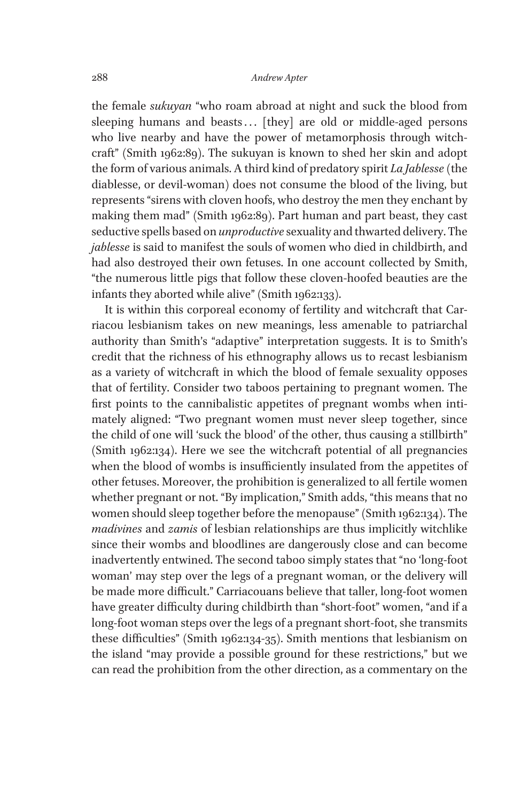the female *sukuyan* "who roam abroad at night and suck the blood from sleeping humans and beasts ... [they] are old or middle-aged persons who live nearby and have the power of metamorphosis through witchcraft" (Smith 1962:89). The sukuyan is known to shed her skin and adopt the form of various animals. A third kind of predatory spirit *La Jablesse* (the diablesse, or devil-woman) does not consume the blood of the living, but represents "sirens with cloven hoofs, who destroy the men they enchant by making them mad" (Smith 1962:89). Part human and part beast, they cast seductive spells based on *unproductive* sexuality and thwarted delivery. The *jablesse* is said to manifest the souls of women who died in childbirth, and had also destroyed their own fetuses. In one account collected by Smith, "the numerous little pigs that follow these cloven-hoofed beauties are the infants they aborted while alive" (Smith 1962:133).

It is within this corporeal economy of fertility and witchcraft that Carriacou lesbianism takes on new meanings, less amenable to patriarchal authority than Smith's "adaptive" interpretation suggests. It is to Smith's credit that the richness of his ethnography allows us to recast lesbianism as a variety of witchcraft in which the blood of female sexuality opposes that of fertility. Consider two taboos pertaining to pregnant women. The first points to the cannibalistic appetites of pregnant wombs when intimately aligned: "Two pregnant women must never sleep together, since the child of one will 'suck the blood' of the other, thus causing a stillbirth" (Smith 1962:134). Here we see the witchcraft potential of all pregnancies when the blood of wombs is insufficiently insulated from the appetites of other fetuses. Moreover, the prohibition is generalized to all fertile women whether pregnant or not. "By implication," Smith adds, "this means that no women should sleep together before the menopause" (Smith 1962:134). The *madivines* and *zamis* of lesbian relationships are thus implicitly witchlike since their wombs and bloodlines are dangerously close and can become inadvertently entwined. The second taboo simply states that "no 'long-foot woman' may step over the legs of a pregnant woman, or the delivery will be made more difficult." Carriacouans believe that taller, long-foot women have greater difficulty during childbirth than "short-foot" women, "and if a long-foot woman steps over the legs of a pregnant short-foot, she transmits these difficulties" (Smith 1962:134-35). Smith mentions that lesbianism on the island "may provide a possible ground for these restrictions," but we can read the prohibition from the other direction, as a commentary on the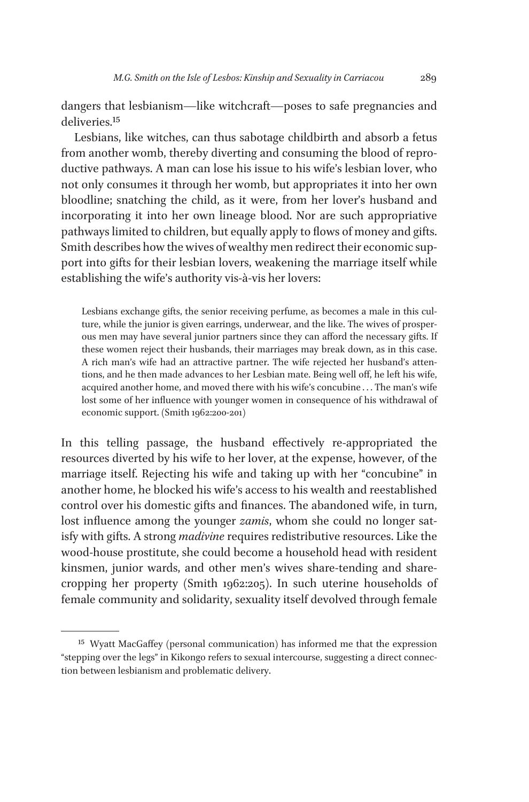dangers that lesbianism—like witchcraft—poses to safe pregnancies and deliveries.15

Lesbians, like witches, can thus sabotage childbirth and absorb a fetus from another womb, thereby diverting and consuming the blood of reproductive pathways. A man can lose his issue to his wife's lesbian lover, who not only consumes it through her womb, but appropriates it into her own bloodline; snatching the child, as it were, from her lover's husband and incorporating it into her own lineage blood. Nor are such appropriative pathways limited to children, but equally apply to flows of money and gifts. Smith describes how the wives of wealthy men redirect their economic support into gifts for their lesbian lovers, weakening the marriage itself while establishing the wife's authority vis-à-vis her lovers:

Lesbians exchange gifts, the senior receiving perfume, as becomes a male in this culture, while the junior is given earrings, underwear, and the like. The wives of prosperous men may have several junior partners since they can afford the necessary gifts. If these women reject their husbands, their marriages may break down, as in this case. A rich man's wife had an attractive partner. The wife rejected her husband's attentions, and he then made advances to her Lesbian mate. Being well off, he left his wife, acquired another home, and moved there with his wife's concubine . . . The man's wife lost some of her influence with younger women in consequence of his withdrawal of economic support. (Smith 1962:200-201)

In this telling passage, the husband effectively re-appropriated the resources diverted by his wife to her lover, at the expense, however, of the marriage itself. Rejecting his wife and taking up with her "concubine" in another home, he blocked his wife's access to his wealth and reestablished control over his domestic gifts and finances. The abandoned wife, in turn, lost influence among the younger *zamis*, whom she could no longer satisfy with gifts. A strong *madivine* requires redistributive resources. Like the wood-house prostitute, she could become a household head with resident kinsmen, junior wards, and other men's wives share-tending and sharecropping her property (Smith 1962:205). In such uterine households of female community and solidarity, sexuality itself devolved through female

<sup>15</sup> Wyatt MacGaffey (personal communication) has informed me that the expression "stepping over the legs" in Kikongo refers to sexual intercourse, suggesting a direct connection between lesbianism and problematic delivery.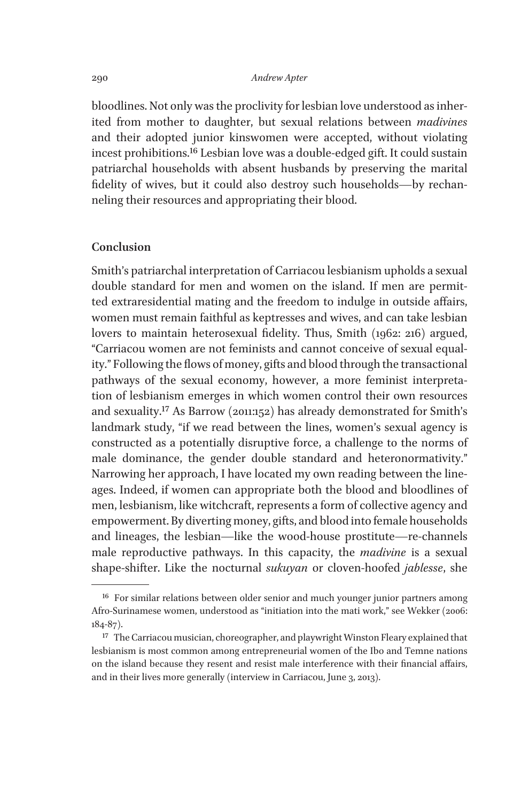bloodlines. Not only was the proclivity for lesbian love understood as inherited from mother to daughter, but sexual relations between *madivines* and their adopted junior kinswomen were accepted, without violating incest prohibitions.16 Lesbian love was a double-edged gift. It could sustain patriarchal households with absent husbands by preserving the marital fidelity of wives, but it could also destroy such households—by rechanneling their resources and appropriating their blood.

## **Conclusion**

Smith's patriarchal interpretation of Carriacou lesbianism upholds a sexual double standard for men and women on the island. If men are permitted extraresidential mating and the freedom to indulge in outside affairs, women must remain faithful as keptresses and wives, and can take lesbian lovers to maintain heterosexual fidelity. Thus, Smith (1962: 216) argued, "Carriacou women are not feminists and cannot conceive of sexual equality." Following the flows of money, gifts and blood through the transactional pathways of the sexual economy, however, a more feminist interpretation of lesbianism emerges in which women control their own resources and sexuality.17 As Barrow (2011:152) has already demonstrated for Smith's landmark study, "if we read between the lines, women's sexual agency is constructed as a potentially disruptive force, a challenge to the norms of male dominance, the gender double standard and heteronormativity." Narrowing her approach, I have located my own reading between the lineages. Indeed, if women can appropriate both the blood and bloodlines of men, lesbianism, like witchcraft, represents a form of collective agency and empowerment. By diverting money, gifts, and blood into female households and lineages, the lesbian—like the wood-house prostitute—re-channels male reproductive pathways. In this capacity, the *madivine* is a sexual shape-shifter. Like the nocturnal *sukuyan* or cloven-hoofed *jablesse*, she

<sup>&</sup>lt;sup>16</sup> For similar relations between older senior and much younger junior partners among Afro-Surinamese women, understood as "initiation into the mati work," see Wekker (2006: 184-87).

<sup>&</sup>lt;sup>17</sup> The Carriacou musician, choreographer, and playwright Winston Fleary explained that lesbianism is most common among entrepreneurial women of the Ibo and Temne nations on the island because they resent and resist male interference with their financial affairs, and in their lives more generally (interview in Carriacou, June 3, 2013).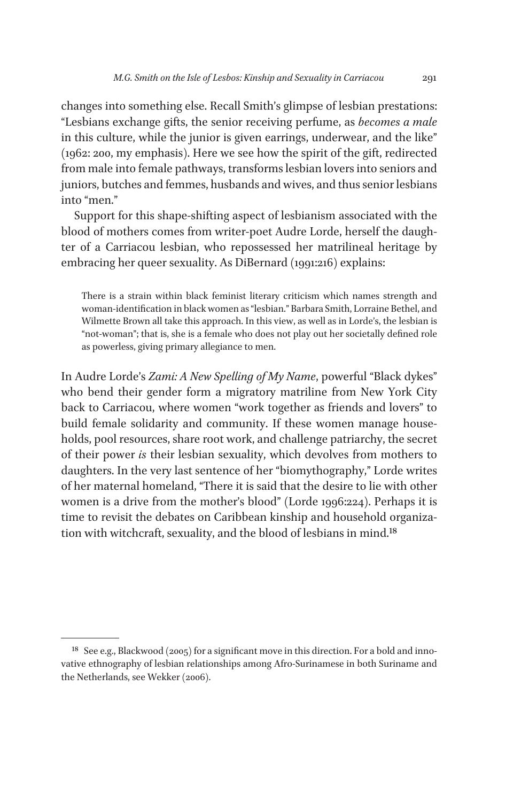changes into something else. Recall Smith's glimpse of lesbian prestations: "Lesbians exchange gifts, the senior receiving perfume, as *becomes a male* in this culture, while the junior is given earrings, underwear, and the like" (1962: 200, my emphasis). Here we see how the spirit of the gift, redirected from male into female pathways, transforms lesbian lovers into seniors and juniors, butches and femmes, husbands and wives, and thus senior lesbians into "men."

Support for this shape-shifting aspect of lesbianism associated with the blood of mothers comes from writer-poet Audre Lorde, herself the daughter of a Carriacou lesbian, who repossessed her matrilineal heritage by embracing her queer sexuality. As DiBernard (1991:216) explains:

There is a strain within black feminist literary criticism which names strength and woman-identification in black women as "lesbian." Barbara Smith, Lorraine Bethel, and Wilmette Brown all take this approach. In this view, as well as in Lorde's, the lesbian is "not-woman"; that is, she is a female who does not play out her societally defined role as powerless, giving primary allegiance to men.

In Audre Lorde's *Zami: A New Spelling of My Name*, powerful "Black dykes" who bend their gender form a migratory matriline from New York City back to Carriacou, where women "work together as friends and lovers" to build female solidarity and community. If these women manage households, pool resources, share root work, and challenge patriarchy, the secret of their power *is* their lesbian sexuality, which devolves from mothers to daughters. In the very last sentence of her "biomythography," Lorde writes of her maternal homeland, "There it is said that the desire to lie with other women is a drive from the mother's blood" (Lorde 1996:224). Perhaps it is time to revisit the debates on Caribbean kinship and household organization with witchcraft, sexuality, and the blood of lesbians in mind.18

<sup>&</sup>lt;sup>18</sup> See e.g., Blackwood (2005) for a significant move in this direction. For a bold and innovative ethnography of lesbian relationships among Afro-Surinamese in both Suriname and the Netherlands, see Wekker (2006).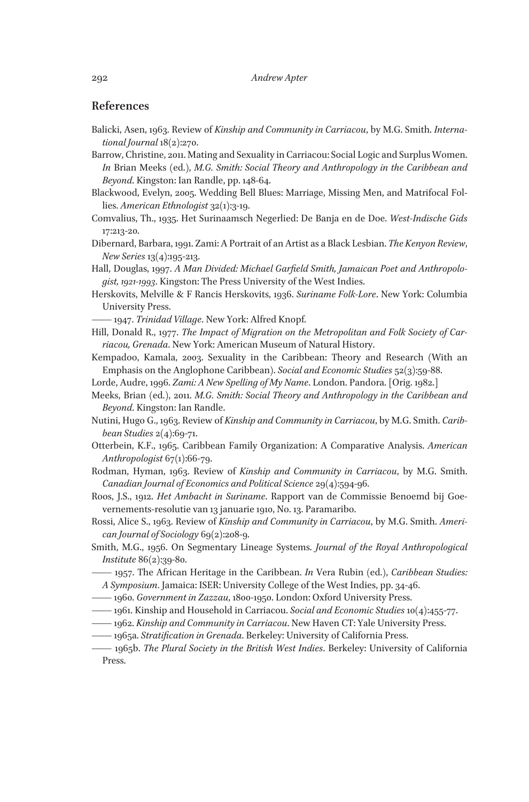#### **References**

- Balicki, Asen, 1963. Review of *Kinship and Community in Carriacou*, by M.G. Smith. *International Journal* 18(2):270.
- Barrow, Christine, 2011. Mating and Sexuality in Carriacou: Social Logic and Surplus Women. *In* Brian Meeks (ed.), *M.G. Smith: Social Theory and Anthropology in the Caribbean and Beyond*. Kingston: Ian Randle, pp. 148-64.
- Blackwood, Evelyn, 2005. Wedding Bell Blues: Marriage, Missing Men, and Matrifocal Follies. *American Ethnologist* 32(1):3-19.
- Comvalius, Th., 1935. Het Surinaamsch Negerlied: De Banja en de Doe. *West-Indische Gids* 17:213-20.
- Dibernard, Barbara, 1991. Zami: A Portrait of an Artist as a Black Lesbian. *The Kenyon Review*, *New Series* 13(4):195-213.
- Hall, Douglas, 1997. *A Man Divided: Michael Garfield Smith, Jamaican Poet and Anthropologist, 1921-1993*. Kingston: The Press University of the West Indies.
- Herskovits, Melville & F Rancis Herskovits, 1936. *Suriname Folk-Lore*. New York: Columbia University Press.
	- —— 1947. *Trinidad Village*. New York: Alfred Knopf.
- Hill, Donald R., 1977. *The Impact of Migration on the Metropolitan and Folk Society of Carriacou, Grenada*. New York: American Museum of Natural History.
- Kempadoo, Kamala, 2003. Sexuality in the Caribbean: Theory and Research (With an Emphasis on the Anglophone Caribbean). *Social and Economic Studies* 52(3):59-88.
- Lorde, Audre, 1996. *Zami: A New Spelling of My Name*. London. Pandora. [Orig. 1982.]
- Meeks, Brian (ed.), 2011. *M.G. Smith: Social Theory and Anthropology in the Caribbean and Beyond*. Kingston: Ian Randle.
- Nutini, Hugo G., 1963. Review of *Kinship and Community in Carriacou*, by M.G. Smith. *Caribbean Studies* 2(4):69-71.
- Otterbein, K.F., 1965. Caribbean Family Organization: A Comparative Analysis. *American Anthropologist* 67(1):66-79.
- Rodman, Hyman, 1963. Review of *Kinship and Community in Carriacou*, by M.G. Smith. *Canadian Journal of Economics and Political Science* 29(4):594-96.
- Roos, J.S., 1912. *Het Ambacht in Suriname*. Rapport van de Commissie Benoemd bij Goevernements-resolutie van 13 januarie 1910, No. 13. Paramaribo.
- Rossi, Alice S., 1963. Review of *Kinship and Community in Carriacou*, by M.G. Smith. *American Journal of Sociology* 69(2):208-9.
- Smith, M.G., 1956. On Segmentary Lineage Systems. *Journal of the Royal Anthropological Institute* 86(2):39-80.
- —— 1957. The African Heritage in the Caribbean. *In* Vera Rubin (ed.), *Caribbean Studies: A Symposium*. Jamaica: ISER: University College of the West Indies, pp. 34-46.
- —— 1960. *Government in Zazzau*, 1800-1950. London: Oxford University Press.
- —— 1961. Kinship and Household in Carriacou. *Social and Economic Studies* 10(4):455-77.
- —— 1962. *Kinship and Community in Carriacou*. New Haven CT: Yale University Press.
- —— 1965a. *Stratification in Grenada*. Berkeley: University of California Press.
- —— 1965b. *The Plural Society in the British West Indies*. Berkeley: University of California Press.